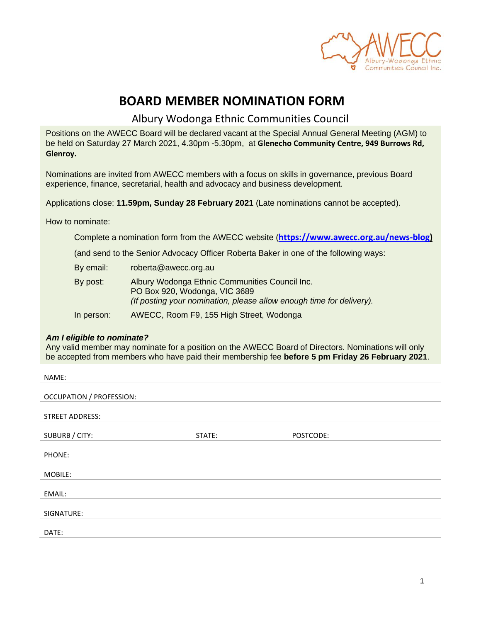

# **BOARD MEMBER NOMINATION FORM**

Albury Wodonga Ethnic Communities Council

Positions on the AWECC Board will be declared vacant at the Special Annual General Meeting (AGM) to be held on Saturday 27 March 2021, 4.30pm -5.30pm, at **Glenecho Community Centre, 949 Burrows Rd, Glenroy.**

Nominations are invited from AWECC members with a focus on skills in governance, previous Board experience, finance, secretarial, health and advocacy and business development.

Applications close: **11.59pm, Sunday 28 February 2021** (Late nominations cannot be accepted).

How to nominate:

Complete a nomination form from the AWECC website (**[https://www.awecc.org.au/news-blog\)](https://www.awecc.org.au/news-blog)**

(and send to the Senior Advocacy Officer Roberta Baker in one of the following ways:

| By email:  | roberta@awecc.org.au                                                                                                                                    |
|------------|---------------------------------------------------------------------------------------------------------------------------------------------------------|
| By post:   | Albury Wodonga Ethnic Communities Council Inc.<br>PO Box 920, Wodonga, VIC 3689<br>(If posting your nomination, please allow enough time for delivery). |
| In person: | AWECC, Room F9, 155 High Street, Wodonga                                                                                                                |

#### *Am I eligible to nominate?*

Any valid member may nominate for a position on the AWECC Board of Directors. Nominations will only be accepted from members who have paid their membership fee **before 5 pm Friday 26 February 2021**.

| NAME:                           |        |           |  |  |
|---------------------------------|--------|-----------|--|--|
| <b>OCCUPATION / PROFESSION:</b> |        |           |  |  |
| <b>STREET ADDRESS:</b>          |        |           |  |  |
| SUBURB / CITY:                  | STATE: | POSTCODE: |  |  |
| PHONE:                          |        |           |  |  |
| MOBILE:                         |        |           |  |  |
| EMAIL:                          |        |           |  |  |
| SIGNATURE:                      |        |           |  |  |
|                                 |        |           |  |  |
| DATE:                           |        |           |  |  |